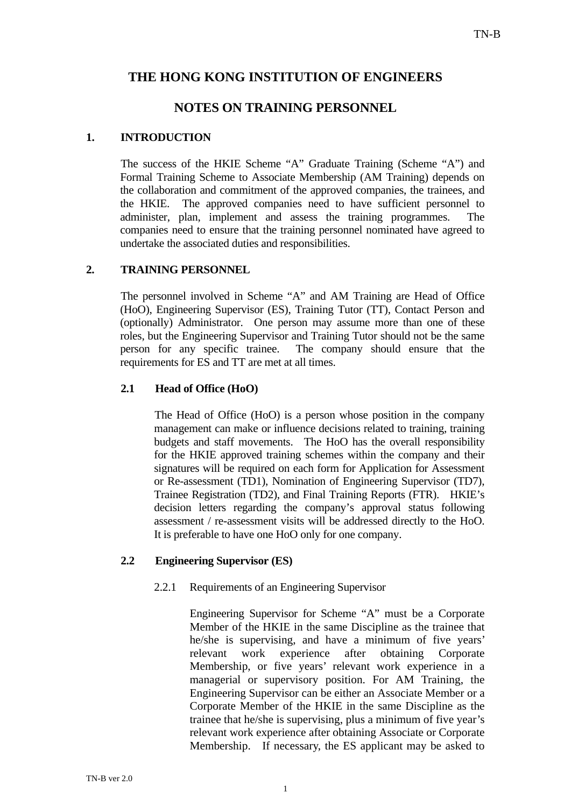# **THE HONG KONG INSTITUTION OF ENGINEERS**

# **NOTES ON TRAINING PERSONNEL**

## **1. INTRODUCTION**

The success of the HKIE Scheme "A" Graduate Training (Scheme "A") and Formal Training Scheme to Associate Membership (AM Training) depends on the collaboration and commitment of the approved companies, the trainees, and the HKIE. The approved companies need to have sufficient personnel to administer, plan, implement and assess the training programmes. The companies need to ensure that the training personnel nominated have agreed to undertake the associated duties and responsibilities.

## **2. TRAINING PERSONNEL**

The personnel involved in Scheme "A" and AM Training are Head of Office (HoO), Engineering Supervisor (ES), Training Tutor (TT), Contact Person and (optionally) Administrator. One person may assume more than one of these roles, but the Engineering Supervisor and Training Tutor should not be the same person for any specific trainee. The company should ensure that the requirements for ES and TT are met at all times.

## **2.1 Head of Office (HoO)**

The Head of Office (HoO) is a person whose position in the company management can make or influence decisions related to training, training budgets and staff movements. The HoO has the overall responsibility for the HKIE approved training schemes within the company and their signatures will be required on each form for Application for Assessment or Re-assessment (TD1), Nomination of Engineering Supervisor (TD7), Trainee Registration (TD2), and Final Training Reports (FTR). HKIE's decision letters regarding the company's approval status following assessment / re-assessment visits will be addressed directly to the HoO. It is preferable to have one HoO only for one company.

### **2.2 Engineering Supervisor (ES)**

### 2.2.1 Requirements of an Engineering Supervisor

 Engineering Supervisor for Scheme "A" must be a Corporate Member of the HKIE in the same Discipline as the trainee that he/she is supervising, and have a minimum of five years' relevant work experience after obtaining Corporate Membership, or five years' relevant work experience in a managerial or supervisory position. For AM Training, the Engineering Supervisor can be either an Associate Member or a Corporate Member of the HKIE in the same Discipline as the trainee that he/she is supervising, plus a minimum of five year's relevant work experience after obtaining Associate or Corporate Membership. If necessary, the ES applicant may be asked to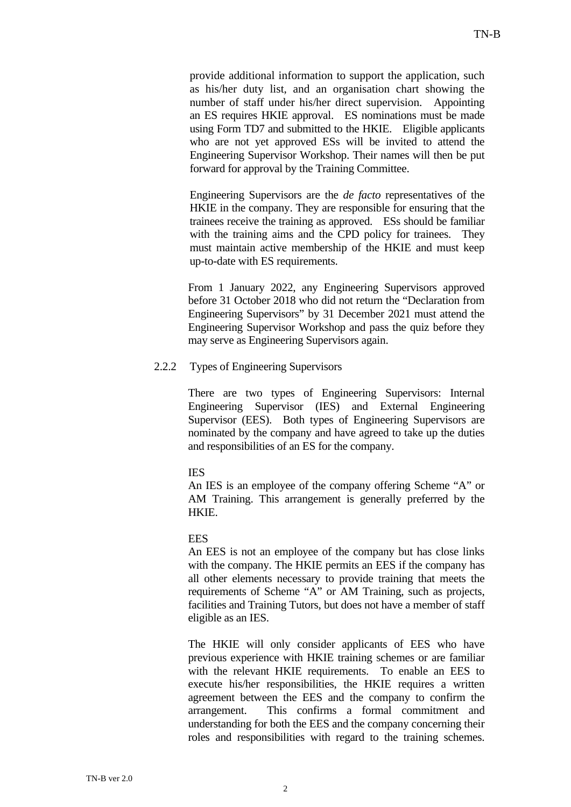provide additional information to support the application, such as his/her duty list, and an organisation chart showing the number of staff under his/her direct supervision. Appointing an ES requires HKIE approval. ES nominations must be made using Form TD7 and submitted to the HKIE. Eligible applicants who are not yet approved ESs will be invited to attend the Engineering Supervisor Workshop. Their names will then be put forward for approval by the Training Committee.

 Engineering Supervisors are the *de facto* representatives of the HKIE in the company. They are responsible for ensuring that the trainees receive the training as approved. ESs should be familiar with the training aims and the CPD policy for trainees. They must maintain active membership of the HKIE and must keep up-to-date with ES requirements.

From 1 January 2022, any Engineering Supervisors approved before 31 October 2018 who did not return the "Declaration from Engineering Supervisors" by 31 December 2021 must attend the Engineering Supervisor Workshop and pass the quiz before they may serve as Engineering Supervisors again.

#### 2.2.2 Types of Engineering Supervisors

There are two types of Engineering Supervisors: Internal Engineering Supervisor (IES) and External Engineering Supervisor (EES). Both types of Engineering Supervisors are nominated by the company and have agreed to take up the duties and responsibilities of an ES for the company.

#### IES

An IES is an employee of the company offering Scheme "A" or AM Training. This arrangement is generally preferred by the HKIE.

### **EES**

An EES is not an employee of the company but has close links with the company. The HKIE permits an EES if the company has all other elements necessary to provide training that meets the requirements of Scheme "A" or AM Training, such as projects, facilities and Training Tutors, but does not have a member of staff eligible as an IES.

The HKIE will only consider applicants of EES who have previous experience with HKIE training schemes or are familiar with the relevant HKIE requirements. To enable an EES to execute his/her responsibilities, the HKIE requires a written agreement between the EES and the company to confirm the arrangement. This confirms a formal commitment and understanding for both the EES and the company concerning their roles and responsibilities with regard to the training schemes.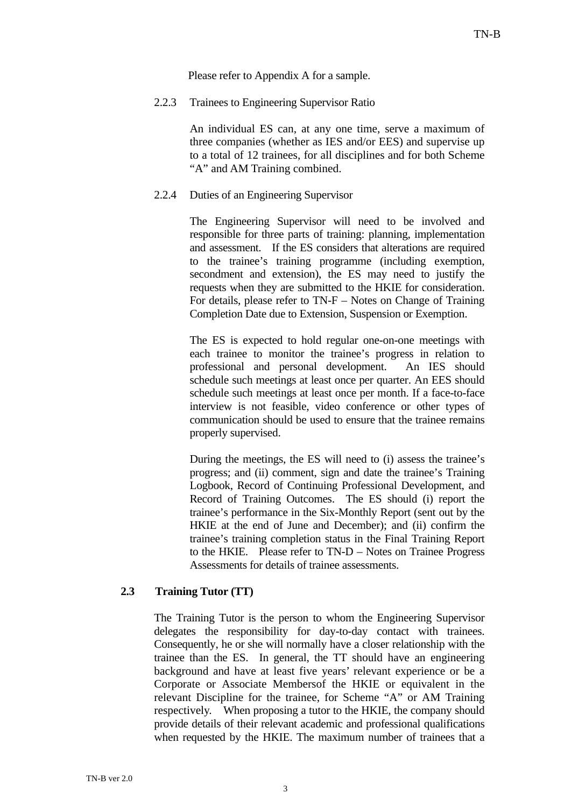Please refer to Appendix A for a sample.

2.2.3 Trainees to Engineering Supervisor Ratio

 An individual ES can, at any one time, serve a maximum of three companies (whether as IES and/or EES) and supervise up to a total of 12 trainees, for all disciplines and for both Scheme "A" and AM Training combined.

2.2.4 Duties of an Engineering Supervisor

 The Engineering Supervisor will need to be involved and responsible for three parts of training: planning, implementation and assessment. If the ES considers that alterations are required to the trainee's training programme (including exemption, secondment and extension), the ES may need to justify the requests when they are submitted to the HKIE for consideration. For details, please refer to TN-F – Notes on Change of Training Completion Date due to Extension, Suspension or Exemption.

 The ES is expected to hold regular one-on-one meetings with each trainee to monitor the trainee's progress in relation to professional and personal development. An IES should schedule such meetings at least once per quarter. An EES should schedule such meetings at least once per month. If a face-to-face interview is not feasible, video conference or other types of communication should be used to ensure that the trainee remains properly supervised.

 During the meetings, the ES will need to (i) assess the trainee's progress; and (ii) comment, sign and date the trainee's Training Logbook, Record of Continuing Professional Development, and Record of Training Outcomes. The ES should (i) report the trainee's performance in the Six-Monthly Report (sent out by the HKIE at the end of June and December); and (ii) confirm the trainee's training completion status in the Final Training Report to the HKIE. Please refer to TN-D – Notes on Trainee Progress Assessments for details of trainee assessments.

## **2.3 Training Tutor (TT)**

The Training Tutor is the person to whom the Engineering Supervisor delegates the responsibility for day-to-day contact with trainees. Consequently, he or she will normally have a closer relationship with the trainee than the ES. In general, the TT should have an engineering background and have at least five years' relevant experience or be a Corporate or Associate Membersof the HKIE or equivalent in the relevant Discipline for the trainee, for Scheme "A" or AM Training respectively. When proposing a tutor to the HKIE, the company should provide details of their relevant academic and professional qualifications when requested by the HKIE. The maximum number of trainees that a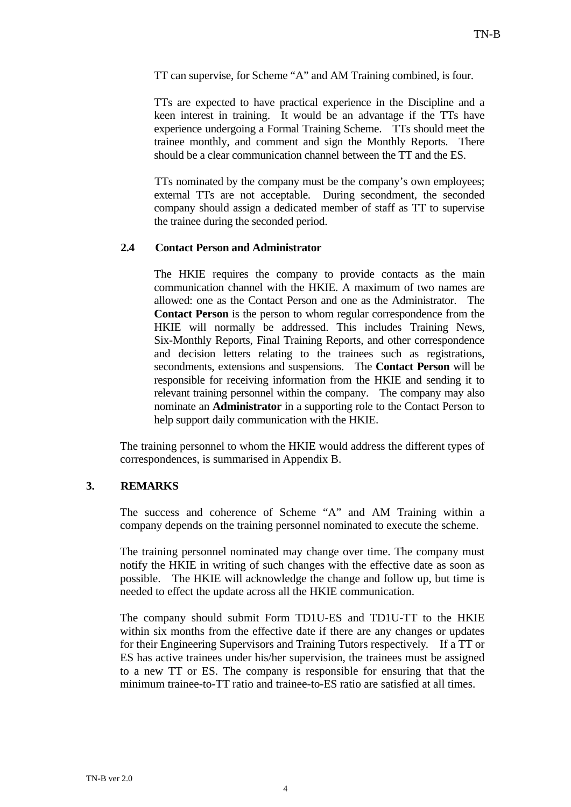TT can supervise, for Scheme "A" and AM Training combined, is four.

TTs are expected to have practical experience in the Discipline and a keen interest in training. It would be an advantage if the TTs have experience undergoing a Formal Training Scheme. TTs should meet the trainee monthly, and comment and sign the Monthly Reports. There should be a clear communication channel between the TT and the ES.

TTs nominated by the company must be the company's own employees; external TTs are not acceptable. During secondment, the seconded company should assign a dedicated member of staff as TT to supervise the trainee during the seconded period.

### **2.4 Contact Person and Administrator**

 The HKIE requires the company to provide contacts as the main communication channel with the HKIE. A maximum of two names are allowed: one as the Contact Person and one as the Administrator. The **Contact Person** is the person to whom regular correspondence from the HKIE will normally be addressed. This includes Training News, Six-Monthly Reports, Final Training Reports, and other correspondence and decision letters relating to the trainees such as registrations, secondments, extensions and suspensions. The **Contact Person** will be responsible for receiving information from the HKIE and sending it to relevant training personnel within the company. The company may also nominate an **Administrator** in a supporting role to the Contact Person to help support daily communication with the HKIE.

The training personnel to whom the HKIE would address the different types of correspondences, is summarised in Appendix B.

## **3. REMARKS**

The success and coherence of Scheme "A" and AM Training within a company depends on the training personnel nominated to execute the scheme.

The training personnel nominated may change over time. The company must notify the HKIE in writing of such changes with the effective date as soon as possible. The HKIE will acknowledge the change and follow up, but time is needed to effect the update across all the HKIE communication.

The company should submit Form TD1U-ES and TD1U-TT to the HKIE within six months from the effective date if there are any changes or updates for their Engineering Supervisors and Training Tutors respectively. If a TT or ES has active trainees under his/her supervision, the trainees must be assigned to a new TT or ES. The company is responsible for ensuring that that the minimum trainee-to-TT ratio and trainee-to-ES ratio are satisfied at all times.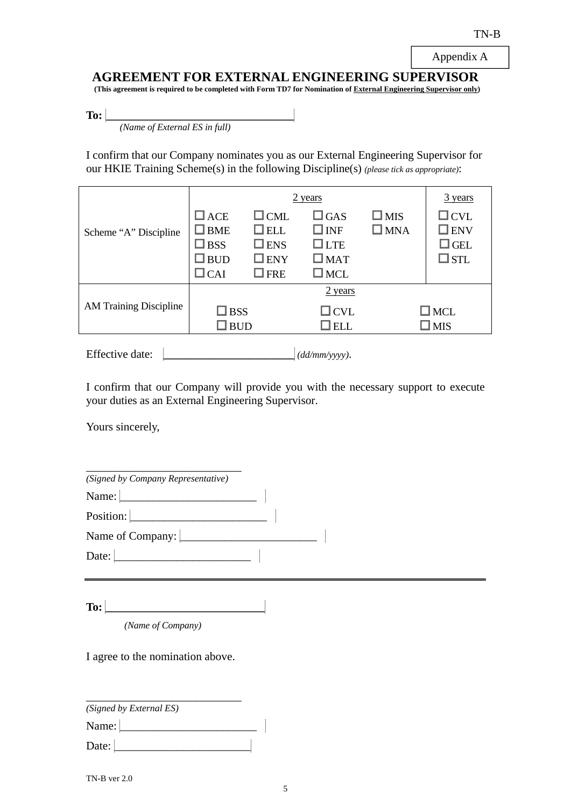Appendix A

**AGREEMENT FOR EXTERNAL ENGINEERING SUPERVISOR** 

 **(This agreement is required to be completed with Form TD7 for Nomination of External Engineering Supervisor only)** 

**To:**  $\frac{1}{\frac{Name \ of \ External \ ES \ in \ full)}$ 

I confirm that our Company nominates you as our External Engineering Supervisor for our HKIE Training Scheme(s) in the following Discipline(s) *(please tick as appropriate)*:

|                               | 2 years                                                                        |                                                                          |                                                                             |                                | 3 years                                                       |
|-------------------------------|--------------------------------------------------------------------------------|--------------------------------------------------------------------------|-----------------------------------------------------------------------------|--------------------------------|---------------------------------------------------------------|
| Scheme "A" Discipline         | $\Box$ ACE<br>$\square$ BME<br>$\square$ BSS<br>$\square$ BUD<br>$\square$ CAI | $\Box$ CML<br>$\Box$ ELL<br>$\square$ ENS<br>$\square$ ENY<br>$\Box$ FRE | $\square$ GAS<br>$\Box$ INF<br>$\Box$ LTE<br>$\square$ MAT<br>$\square$ MCL | $\square$ MIS<br>$\square$ MNA | $\Box$ CVL<br>$\square$ ENV<br>$\square$ GEL<br>$\square$ STL |
| <b>AM Training Discipline</b> | $\square$ BSS<br>$\square$ BUD                                                 |                                                                          | 2 years<br>$\Box$ CVL<br>$\Box$ ELL                                         |                                | $\square$ MCL<br>$\square$ MIS                                |

Effective date: **\_\_\_\_\_\_\_\_\_\_\_\_\_\_\_\_\_\_\_\_\_\_\_** *(dd/mm/yyyy)*.

I confirm that our Company will provide you with the necessary support to execute your duties as an External Engineering Supervisor.

Yours sincerely,

| (Signed by Company Representative) |  |
|------------------------------------|--|
| Name:                              |  |
| Position:                          |  |
| Name of Company:                   |  |
| Date:                              |  |

**To:**  $\begin{bmatrix} \begin{bmatrix} 0 & 1 \\ 0 & 1 \end{bmatrix} & \begin{bmatrix} 0 & 1 \\ 0 & 1 \end{bmatrix} & \begin{bmatrix} 0 & 1 \\ 0 & 1 \end{bmatrix} & \begin{bmatrix} 0 & 1 \\ 0 & 1 \end{bmatrix} & \begin{bmatrix} 0 & 1 \\ 0 & 1 \end{bmatrix} & \begin{bmatrix} 0 & 1 \\ 0 & 1 \end{bmatrix} & \begin{bmatrix} 0 & 1 \\ 0 & 1 \end{bmatrix} & \begin{bmatrix} 0 & 1 \\ 0 & 1 \end{bmatrix} & \begin{bmatrix} 0 & 1 \\ 0 & 1$ 

*(Name of Company)* 

I agree to the nomination above.

| (Signed by External ES) |  |
|-------------------------|--|
| Name:                   |  |
| Date:                   |  |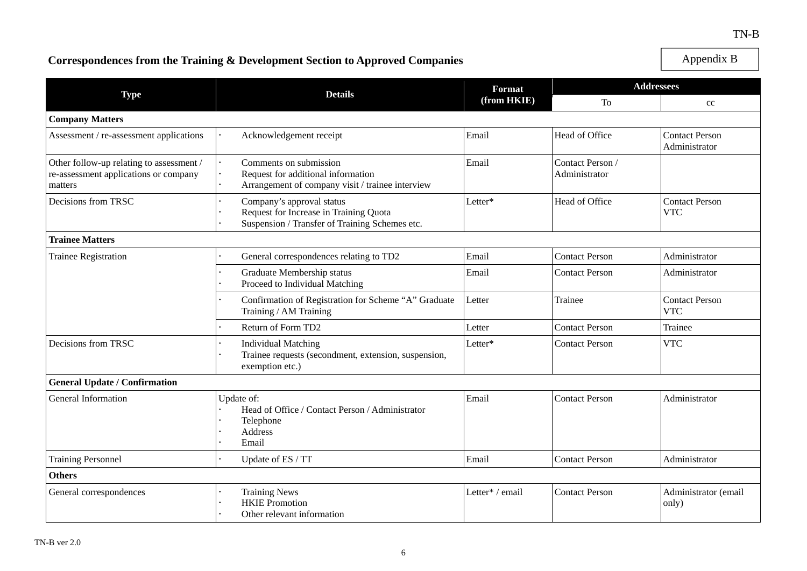#### TN-B

# **Correspondences from the Training & Development Section to Approved Companies**

Appendix B

|                                                                                              | <b>Details</b>                                                                                                        | <b>Format</b>   | <b>Addressees</b>                 |                                        |
|----------------------------------------------------------------------------------------------|-----------------------------------------------------------------------------------------------------------------------|-----------------|-----------------------------------|----------------------------------------|
| <b>Type</b>                                                                                  |                                                                                                                       | (from HKIE)     | To                                | cc                                     |
| <b>Company Matters</b>                                                                       |                                                                                                                       |                 |                                   |                                        |
| Assessment / re-assessment applications                                                      | Acknowledgement receipt                                                                                               | Email           | Head of Office                    | <b>Contact Person</b><br>Administrator |
| Other follow-up relating to assessment /<br>re-assessment applications or company<br>matters | Comments on submission<br>Request for additional information<br>Arrangement of company visit / trainee interview      | Email           | Contact Person /<br>Administrator |                                        |
| Decisions from TRSC                                                                          | Company's approval status<br>Request for Increase in Training Quota<br>Suspension / Transfer of Training Schemes etc. | Letter*         | Head of Office                    | <b>Contact Person</b><br><b>VTC</b>    |
| <b>Trainee Matters</b>                                                                       |                                                                                                                       |                 |                                   |                                        |
| <b>Trainee Registration</b>                                                                  | General correspondences relating to TD2                                                                               | Email           | <b>Contact Person</b>             | Administrator                          |
|                                                                                              | Graduate Membership status<br>Proceed to Individual Matching                                                          | Email           | <b>Contact Person</b>             | Administrator                          |
|                                                                                              | Confirmation of Registration for Scheme "A" Graduate<br>Training / AM Training                                        | Letter          | Trainee                           | <b>Contact Person</b><br><b>VTC</b>    |
|                                                                                              | Return of Form TD2                                                                                                    | Letter          | <b>Contact Person</b>             | Trainee                                |
| Decisions from TRSC                                                                          | <b>Individual Matching</b><br>Trainee requests (secondment, extension, suspension,<br>exemption etc.)                 | Letter*         | <b>Contact Person</b>             | <b>VTC</b>                             |
| <b>General Update / Confirmation</b>                                                         |                                                                                                                       |                 |                                   |                                        |
| <b>General Information</b>                                                                   | Update of:<br>Head of Office / Contact Person / Administrator<br>Telephone<br>Address<br>Email                        | Email           | <b>Contact Person</b>             | Administrator                          |
| <b>Training Personnel</b>                                                                    | Update of ES / TT                                                                                                     | Email           | <b>Contact Person</b>             | Administrator                          |
| <b>Others</b>                                                                                |                                                                                                                       |                 |                                   |                                        |
| General correspondences                                                                      | <b>Training News</b><br><b>HKIE</b> Promotion<br>Other relevant information                                           | Letter* / email | <b>Contact Person</b>             | Administrator (email<br>only)          |